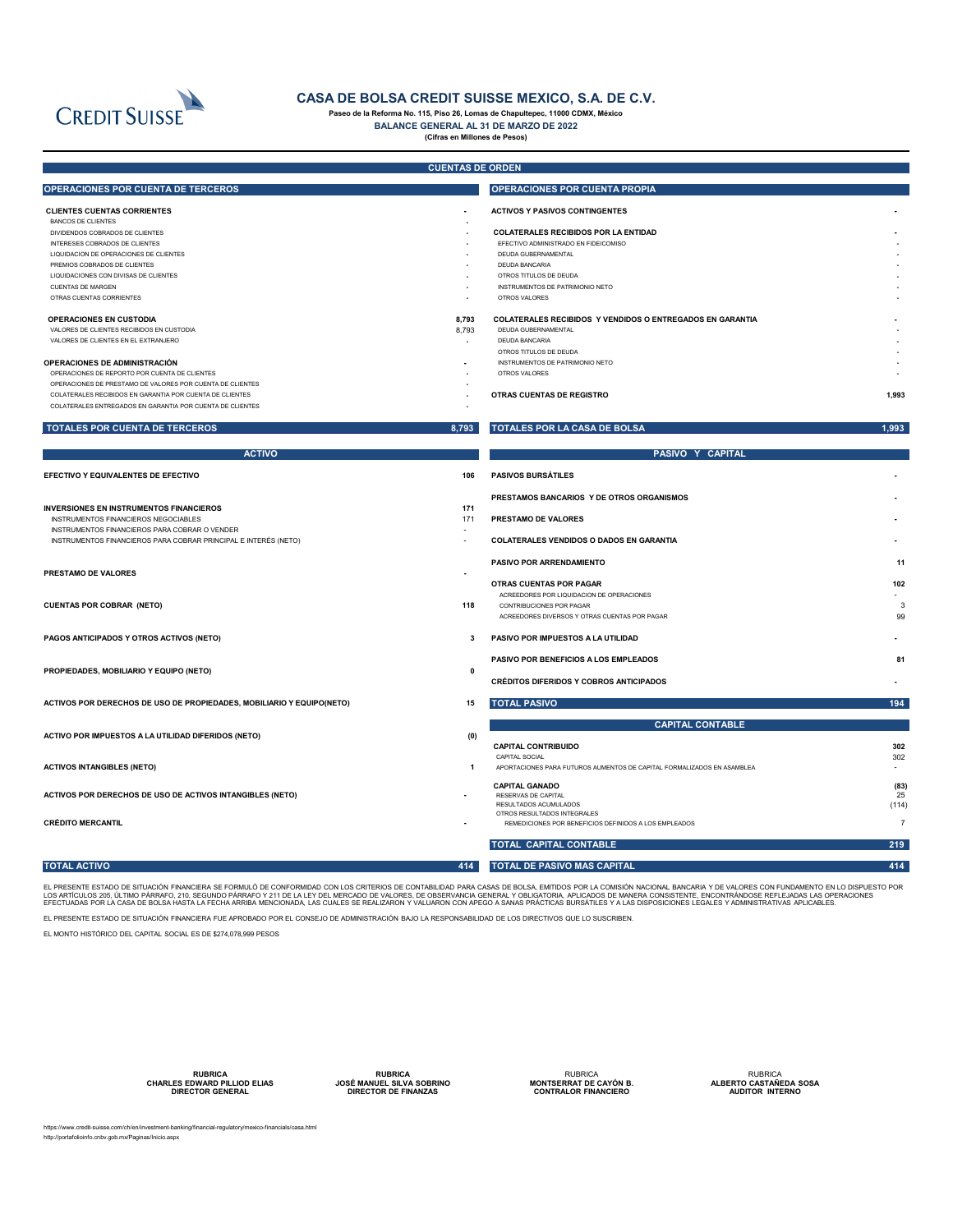|                                                                 | <b>CUENTAS DE ORDEN</b> |                                                                  |       |
|-----------------------------------------------------------------|-------------------------|------------------------------------------------------------------|-------|
| OPERACIONES POR CUENTA DE TERCEROS                              |                         | <b>OPERACIONES POR CUENTA PROPIA</b>                             |       |
| <b>CLIENTES CUENTAS CORRIENTES</b>                              | $\sim$                  | <b>ACTIVOS Y PASIVOS CONTINGENTES</b>                            |       |
| <b>BANCOS DE CLIENTES</b>                                       |                         |                                                                  |       |
| DIVIDENDOS COBRADOS DE CLIENTES                                 | $\sim$                  | <b>COLATERALES RECIBIDOS POR LA ENTIDAD</b>                      |       |
| INTERESES COBRADOS DE CLIENTES                                  |                         | EFECTIVO ADMINISTRADO EN FIDEICOMISO                             |       |
| LIQUIDACION DE OPERACIONES DE CLIENTES                          |                         | <b>DEUDA GUBERNAMENTAL</b>                                       |       |
| PREMIOS COBRADOS DE CLIENTES                                    |                         | DEUDA BANCARIA                                                   |       |
| LIQUIDACIONES CON DIVISAS DE CLIENTES                           |                         | OTROS TITULOS DE DEUDA                                           |       |
| <b>CUENTAS DE MARGEN</b><br>OTRAS CUENTAS CORRIENTES            | $\sim$                  | INSTRUMENTOS DE PATRIMONIO NETO<br>OTROS VALORES                 |       |
|                                                                 |                         |                                                                  |       |
| <b>OPERACIONES EN CUSTODIA</b>                                  | 8,793                   | <b>COLATERALES RECIBIDOS Y VENDIDOS O ENTREGADOS EN GARANTIA</b> |       |
| VALORES DE CLIENTES RECIBIDOS EN CUSTODIA                       | 8,793                   | DEUDA GUBERNAMENTAL                                              |       |
| VALORES DE CLIENTES EN EL EXTRANJERO                            | $\sim$                  | <b>DEUDA BANCARIA</b>                                            |       |
|                                                                 |                         | OTROS TITULOS DE DEUDA                                           |       |
| OPERACIONES DE ADMINISTRACIÓN                                   |                         | INSTRUMENTOS DE PATRIMONIO NETO                                  |       |
| OPERACIONES DE REPORTO POR CUENTA DE CLIENTES                   | $\sim$                  | <b>OTROS VALORES</b>                                             |       |
| OPERACIONES DE PRESTAMO DE VALORES POR CUENTA DE CLIENTES       |                         |                                                                  |       |
| COLATERALES RECIBIDOS EN GARANTIA POR CUENTA DE CLIENTES        |                         | <b>OTRAS CUENTAS DE REGISTRO</b>                                 | 1,993 |
| COLATERALES ENTREGADOS EN GARANTIA POR CUENTA DE CLIENTES       |                         |                                                                  |       |
| TOTALES POR CUENTA DE TERCEROS                                  | 8,793                   | <b>TOTALES POR LA CASA DE BOLSA</b>                              | 1,993 |
| <b>ACTIVO</b>                                                   |                         | PASIVO Y CAPITAL                                                 |       |
| <b>EFECTIVO Y EQUIVALENTES DE EFECTIVO</b>                      | 106                     | <b>PASIVOS BURSÁTILES</b>                                        |       |
|                                                                 |                         | PRESTAMOS BANCARIOS Y DE OTROS ORGANISMOS                        |       |
| <b>INVERSIONES EN INSTRUMENTOS FINANCIEROS</b>                  | 171                     |                                                                  |       |
| INSTRUMENTOS FINANCIEROS NEGOCIABLES                            | 171                     | <b>PRESTAMO DE VALORES</b>                                       |       |
| INSTRUMENTOS FINANCIEROS PARA COBRAR O VENDER                   |                         |                                                                  |       |
| INSTRUMENTOS FINANCIEROS PARA COBRAR PRINCIPAL E INTERÉS (NETO) |                         | <b>COLATERALES VENDIDOS O DADOS EN GARANTIA</b>                  |       |
|                                                                 |                         | <b>PASIVO POR ARRENDAMIENTO</b>                                  | 11    |
| <b>PRESTAMO DE VALORES</b>                                      |                         |                                                                  |       |
|                                                                 |                         | <b>OTRAS CUENTAS POR PAGAR</b>                                   | 102   |
|                                                                 |                         | ACREEDORES POR LIQUIDACION DE OPERACIONES                        |       |
| <b>CUENTAS POR COBRAR (NETO)</b>                                | 118                     | CONTRIBUCIONES POR PAGAR                                         | 3     |
|                                                                 |                         | ACREEDORES DIVERSOS Y OTRAS CUENTAS POR PAGAR                    | 99    |
| PAGOS ANTICIPADOS Y OTROS ACTIVOS (NETO)                        | 3                       | PASIVO POR IMPUESTOS A LA UTILIDAD                               |       |
|                                                                 |                         | <b>PASIVO POR BENEFICIOS A LOS EMPLEADOS</b>                     | 81    |
| PROPIEDADES, MOBILIARIO Y EQUIPO (NETO)                         | 0                       |                                                                  |       |
|                                                                 |                         | <b>CRÉDITOS DIFERIDOS Y COBROS ANTICIPADOS</b>                   |       |

EL PRESENTE ESTADO DE SITUACIÓN FINANCIERA SE FORMULÓ DE CONFORMIDAD CON LOS CRITERIOS DE CONTABILIDAD PARA CASAS DE BOLSA, EMITIDOS POR LA COMISIÓN NACIONAL BANCARIA Y DE VALORES CON FUNDAMENTO EN LO DISPUESTO POR LOS ARTÍCULOS 205, ÚLTIMO PÁRRAFO, 210, SEGUNDO PÁRRAFO Y 211 DE LA LEY DEL MERCADO DE VALORES, DE OBSERVANCIA GENERAL Y OBLIGATORIA, APLICADOS DE MANERA CONSISTENTE, ENCONTRÁNDOSE REFLEJADAS LAS OPERACIONES EFECTUADAS POR LA CASA DE BOLSA HASTA LA FECHA ARRIBA MENCIONADA, LAS CUALES SE REALIZARON Y VALUARON CON APEGO A SANAS PRÁCTICAS BURSÁTILES Y A LAS DISPOSICIONES LEGALES Y ADMINISTRATIVAS APLICABLES.

**ACTIVOS POR DERECHOS DE USO DE PROPIEDADES, MOBILIARIO Y EQUIPO(NETO) 15 TOTAL PASIVO 194 ACTIVO POR IMPUESTOS A LA UTILIDAD DIFERIDOS (NETO) (0) CAPITAL CONTRIBUIDO 302** CAPITAL SOCIAL 302 **ACTIVOS INTANGIBLES (NETO) 1** APORTACIONES PARA FUTUROS AUMENTOS DE CAPITAL FORMALIZADOS EN ASAMBLEA - **CAPITAL GANADO (83) ACTIVOS POR DERECHOS DE USO DE ACTIVOS INTANGIBLES (NETO) -** RESERVAS DE CAPITAL 25 RESULTADOS ACUMULADOS (114) OTROS RESULTADOS INTEGRALES **CRÉDITO MERCANTIL CRÉDITO MERCANTIL 1999 CONTRACTE EN ENTREDICIONES POR BENEFICIOS DEFINIDOS A LOS EMPLEADOS 7 TOTAL CAPITAL CONTABLE 219 TOTAL ACTIVO ACTIVO ACTIVO ACCEPTADA EN 1999 EN 1999 EN 1999 EN 1999 EN 1999 EN 1999 EN 1999 EN 1999 EN 1999 EN 1999 EN 1999 EN 1999 EN 1999 EN 1999 EN 1999 EN 1999 EN 1999 EN 1999 EN 1999 EN 1999 EN 1999 EN 1999 EN 1999 CAPITAL CONTABLE**

https://www.credit-suisse.com/ch/en/investment-banking/financial-regulatory/mexico-financials/casa.html http://portafolioinfo.cnbv.gob.mx/Paginas/Inicio.aspx



# **CASA DE BOLSA CREDIT SUISSE MEXICO, S.A. DE C.V.**

**Paseo de la Reforma No. 115, Piso 26, Lomas de Chapultepec, 11000 CDMX, México**

**BALANCE GENERAL AL 31 DE MARZO DE 2022**

**(Cifras en Millones de Pesos)**

**RUBRICA CHARLES EDWARD PILLIOD ELIAS DIRECTOR GENERAL**

**RUBRICA JOSÉ MANUEL SILVA SOBRINO ESPACIO ESPACIO ESPACIO DIRECTOR DE FINANZAS**

RUBRICA **MONTSERRAT DE CAYÓN B. CONTRALOR FINANCIERO**

RUBRICA **ALBERTO CASTAÑEDA SOSA AUDITOR INTERNO**

EL PRESENTE ESTADO DE SITUACIÓN FINANCIERA FUE APROBADO POR EL CONSEJO DE ADMINISTRACIÓN BAJO LA RESPONSABILIDAD DE LOS DIRECTIVOS QUE LO SUSCRIBEN.

EL MONTO HISTÓRICO DEL CAPITAL SOCIAL ES DE \$274,078,999 PESOS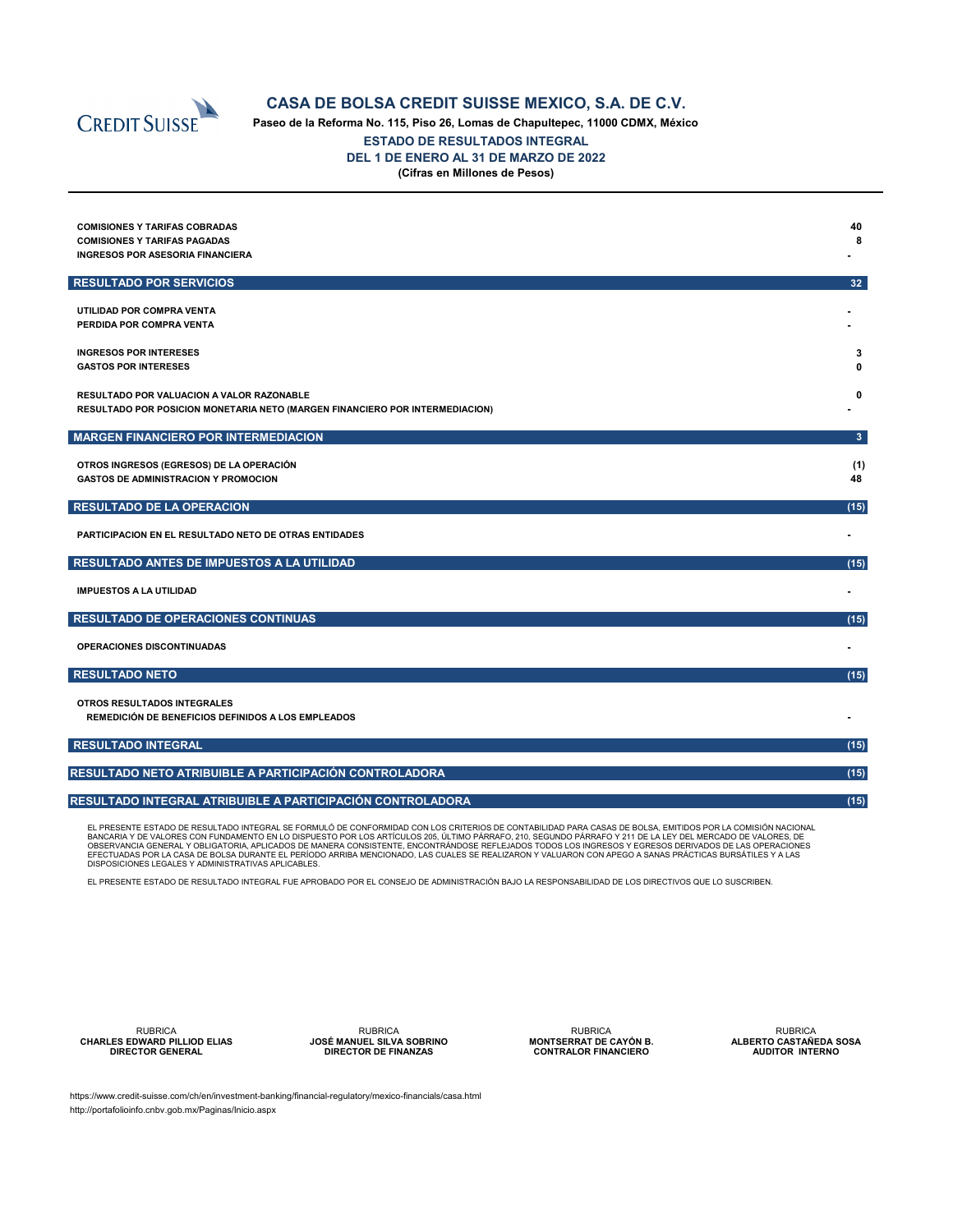

# **CASA DE BOLSA CREDIT SUISSE MEXICO, S.A. DE C.V.**

**Paseo de la Reforma No. 115, Piso 26, Lomas de Chapultepec, 11000 CDMX, México ESTADO DE RESULTADOS INTEGRAL DEL 1 DE ENERO AL 31 DE MARZO DE 2022 (Cifras en Millones de Pesos)**

| <b>COMISIONES Y TARIFAS COBRADAS</b><br><b>COMISIONES Y TARIFAS PAGADAS</b><br><b>INGRESOS POR ASESORIA FINANCIERA</b>           | 40<br>8        |
|----------------------------------------------------------------------------------------------------------------------------------|----------------|
| <b>RESULTADO POR SERVICIOS</b>                                                                                                   | 32             |
| UTILIDAD POR COMPRA VENTA<br>PERDIDA POR COMPRA VENTA                                                                            |                |
| <b>INGRESOS POR INTERESES</b><br><b>GASTOS POR INTERESES</b>                                                                     | 3<br>O         |
| <b>RESULTADO POR VALUACION A VALOR RAZONABLE</b><br>RESULTADO POR POSICION MONETARIA NETO (MARGEN FINANCIERO POR INTERMEDIACION) | 0              |
| <b>MARGEN FINANCIERO POR INTERMEDIACION</b>                                                                                      | 3 <sup>1</sup> |
| OTROS INGRESOS (EGRESOS) DE LA OPERACIÓN<br><b>GASTOS DE ADMINISTRACION Y PROMOCION</b>                                          | (1)<br>48      |
| <b>RESULTADO DE LA OPERACION</b>                                                                                                 | (15)           |
| <b>PARTICIPACION EN EL RESULTADO NETO DE OTRAS ENTIDADES</b>                                                                     |                |
| RESULTADO ANTES DE IMPUESTOS A LA UTILIDAD                                                                                       | (15)           |
| <b>IMPUESTOS A LA UTILIDAD</b>                                                                                                   |                |
| <b>RESULTADO DE OPERACIONES CONTINUAS</b>                                                                                        | (15)           |
| OPERACIONES DISCONTINUADAS                                                                                                       |                |
| <b>RESULTADO NETO</b>                                                                                                            | (15)           |
| <b>OTROS RESULTADOS INTEGRALES</b><br><b>REMEDICIÓN DE BENEFICIOS DEFINIDOS A LOS EMPLEADOS</b>                                  |                |

| ∣ RESULTADO INTEGRAL∣                                         | (15) |
|---------------------------------------------------------------|------|
|                                                               |      |
| <b>RESULTADO NETO ATRIBUIBLE A PARTICIPACIÓN CONTROLADORA</b> | (15) |
|                                                               |      |
| RESULTADO INTEGRAL ATRIBUIBLE A PARTICIPACIÓN CONTROLADORA    | (15) |
|                                                               |      |

EL PRESENTE ESTADO DE RESULTADO INTEGRAL SE FORMULÓ DE CONFORMIDAD CON LOS CRITERIOS DE CONTABILIDAD PARA CASAS DE BOLSA, EMITIDOS POR LA COMISIÓN NACIONAL BANCARIA Y DE VALORES CON FUNDAMENTO EN LO DISPUESTO POR LOS ARTÍCULOS 205, ÚLTIMO PÁRRAFO, 210, SEGUNDO PÁRRAFO Y 211 DE LA LEY DEL MERCADO DE VALORES, DE OBSERVANCIA GENERAL Y OBLIGATORIA, APLICADOS DE MANERA CONSISTENTE, ENCONTRÁNDOSE REFLEJADOS TODOS LOS INGRESOS Y EGRESOS DERIVADOS DE LAS OPERACIONES EFECTUADAS POR LA CASA DE BOLSA DURANTE EL PERÍODO ARRIBA MENCIONADO, LAS CUALES SE REALIZARON Y VALUARON CON APEGO A SANAS PRÁCTICAS BURSÁTILES Y A LAS DISPOSICIONES LEGALES Y ADMINISTRATIVAS APLICABLES.

EL PRESENTE ESTADO DE RESULTADO INTEGRAL FUE APROBADO POR EL CONSEJO DE ADMINISTRACIÓN BAJO LA RESPONSABILIDAD DE LOS DIRECTIVOS QUE LO SUSCRIBEN.

RUBRICA **CHARLES EDWARD PILLIOD ELIAS DIRECTOR GENERAL**

RUBRICA **JOSÉ MANUEL SILVA SOBRINO ESPACIO ESPACIO DIRECTOR DE FINANZAS**

RUBRICA **MONTSERRAT DE CAYÓN B. CONTRALOR FINANCIERO**

RUBRICA **ALBERTO CASTAÑEDA SOSA AUDITOR INTERNO**

https://www.credit-suisse.com/ch/en/investment-banking/financial-regulatory/mexico-financials/casa.html http://portafolioinfo.cnbv.gob.mx/Paginas/Inicio.aspx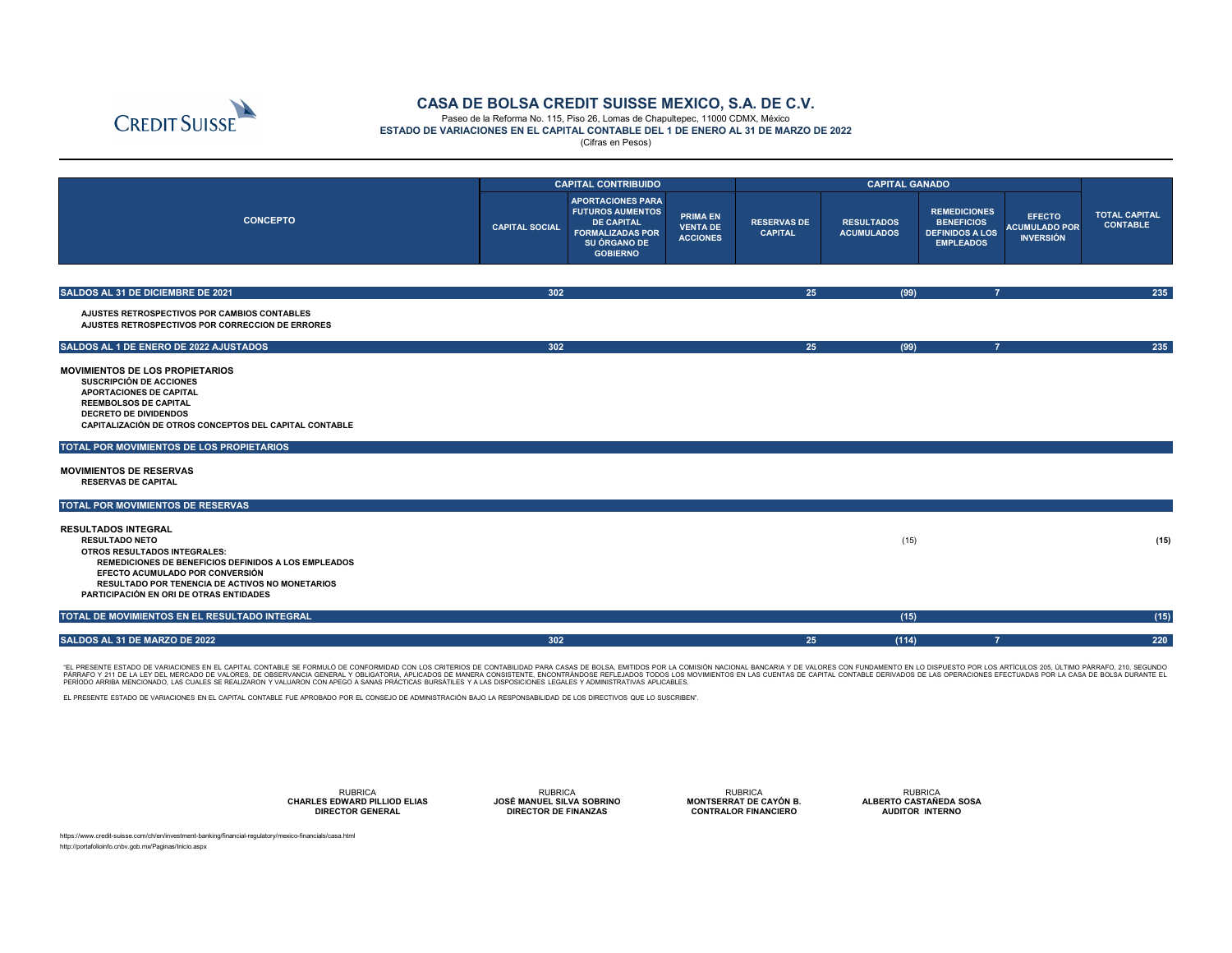|                                                                                                                                                                                                                                                                                                                                                   |                       | <b>CAPITAL CONTRIBUIDO</b>                                                                                                             |                                                       | <b>CAPITAL GANADO</b>                |                                        |                                                                                        |                                                           |                                         |
|---------------------------------------------------------------------------------------------------------------------------------------------------------------------------------------------------------------------------------------------------------------------------------------------------------------------------------------------------|-----------------------|----------------------------------------------------------------------------------------------------------------------------------------|-------------------------------------------------------|--------------------------------------|----------------------------------------|----------------------------------------------------------------------------------------|-----------------------------------------------------------|-----------------------------------------|
| <b>CONCEPTO</b>                                                                                                                                                                                                                                                                                                                                   | <b>CAPITAL SOCIAL</b> | <b>APORTACIONES PARA</b><br><b>FUTUROS AUMENTOS</b><br><b>DE CAPITAL</b><br><b>FORMALIZADAS POR</b><br>SU ÓRGANO DE<br><b>GOBIERNO</b> | <b>PRIMA EN</b><br><b>VENTA DE</b><br><b>ACCIONES</b> | <b>RESERVAS DE</b><br><b>CAPITAL</b> | <b>RESULTADOS</b><br><b>ACUMULADOS</b> | <b>REMEDICIONES</b><br><b>BENEFICIOS</b><br><b>DEFINIDOS A LOS</b><br><b>EMPLEADOS</b> | <b>EFECTO</b><br><b>ACUMULADO POR</b><br><b>INVERSIÓN</b> | <b>TOTAL CAPITAL</b><br><b>CONTABLE</b> |
|                                                                                                                                                                                                                                                                                                                                                   |                       |                                                                                                                                        |                                                       |                                      |                                        |                                                                                        |                                                           |                                         |
| SALDOS AL 31 DE DICIEMBRE DE 2021                                                                                                                                                                                                                                                                                                                 | 302                   |                                                                                                                                        |                                                       | 25                                   | (99)                                   |                                                                                        |                                                           | 235                                     |
| AJUSTES RETROSPECTIVOS POR CAMBIOS CONTABLES<br>AJUSTES RETROSPECTIVOS POR CORRECCION DE ERRORES                                                                                                                                                                                                                                                  |                       |                                                                                                                                        |                                                       |                                      |                                        |                                                                                        |                                                           |                                         |
| SALDOS AL 1 DE ENERO DE 2022 AJUSTADOS                                                                                                                                                                                                                                                                                                            | 302                   |                                                                                                                                        |                                                       | 25                                   | (99)                                   | $\overline{7}$                                                                         |                                                           | 235                                     |
| <b>MOVIMIENTOS DE LOS PROPIETARIOS</b><br><b>SUSCRIPCIÓN DE ACCIONES</b><br><b>APORTACIONES DE CAPITAL</b><br><b>REEMBOLSOS DE CAPITAL</b><br><b>DECRETO DE DIVIDENDOS</b><br>CAPITALIZACIÓN DE OTROS CONCEPTOS DEL CAPITAL CONTABLE<br>TOTAL POR MOVIMIENTOS DE LOS PROPIETARIOS<br><b>MOVIMIENTOS DE RESERVAS</b><br><b>RESERVAS DE CAPITAL</b> |                       |                                                                                                                                        |                                                       |                                      |                                        |                                                                                        |                                                           |                                         |
| TOTAL POR MOVIMIENTOS DE RESERVAS                                                                                                                                                                                                                                                                                                                 |                       |                                                                                                                                        |                                                       |                                      |                                        |                                                                                        |                                                           |                                         |
| <b>RESULTADOS INTEGRAL</b><br><b>RESULTADO NETO</b><br><b>OTROS RESULTADOS INTEGRALES:</b><br>REMEDICIONES DE BENEFICIOS DEFINIDOS A LOS EMPLEADOS<br>EFECTO ACUMULADO POR CONVERSIÓN<br><b>RESULTADO POR TENENCIA DE ACTIVOS NO MONETARIOS</b><br>PARTICIPACIÓN EN ORI DE OTRAS ENTIDADES                                                        |                       |                                                                                                                                        |                                                       |                                      | (15)                                   |                                                                                        |                                                           | (15)                                    |
| TOTAL DE MOVIMIENTOS EN EL RESULTADO INTEGRAL                                                                                                                                                                                                                                                                                                     |                       |                                                                                                                                        |                                                       |                                      | (15)                                   |                                                                                        |                                                           | (15)                                    |
| SALDOS AL 31 DE MARZO DE 2022                                                                                                                                                                                                                                                                                                                     | 302                   |                                                                                                                                        |                                                       | 25                                   | (114)                                  |                                                                                        |                                                           | <b>220</b>                              |

"EL PRESENTE ESTADO DE VARIACIONES EN EL CAPITAL CONTABLE SE FORMULO DE CONFORMIDAD CON LOS CRITERIOS DE CONTABILIDAD PARA CASAS DE BOLSA, EMITIDOS POR LA COMISION NACIONAL BANCARIA Y DE VALORES CON FUNDAMENTO EN LO DISPUE PÀRRAFO Y 211 DE LA LEY DEL MERCADO DE VALORES, DE OBSERVANCIA GENERAL Y OBLIGATORIA, APLICADOS DE MANERA CONSISTENTE, ENCONTRÀNDOSE REFLEJADOS TODOS LOS MOVIMIENTOS EN LAS CUENTAS DE CAPITAL CONTABLE DERIVADOS DE LAS OPER PERÍODO ARRIBA MENCIONADO, LAS CUALES SE REALIZARON Y VALUARON CON APEGO A SANAS PRÁCTICAS BURSÁTILES Y A LAS DISPOSICIONES LEGALES Y ADMINISTRATIVAS APLICABLES.

https://www.credit-suisse.com/ch/en/investment-banking/financial-regulatory/mexico-financials/casa.html http://portafolioinfo.cnbv.gob.mx/Paginas/Inicio.aspx



RUBRICA **JOSÉ MANUEL SILVA SOBRINO DIRECTOR DE FINANZAS JOSE MANUEL SILVA SOBRINO** 



# **CASA DE BOLSA CREDIT SUISSE MEXICO, S.A. DE C.V.**

Paseo de la Reforma No. 115, Piso 26, Lomas de Chapultepec, 11000 CDMX, México **ESTADO DE VARIACIONES EN EL CAPITAL CONTABLE DEL 1 DE ENERO AL 31 DE MARZO DE 2022** (Cifras en Pesos)

EL PRESENTE ESTADO DE VARIACIONES EN EL CAPITAL CONTABLE FUE APROBADO POR EL CONSEJO DE ADMINISTRACIÓN BAJO LA RESPONSABILIDAD DE LOS DIRECTIVOS QUE LO SUSCRIBEN".

RUBRICA **CHARLES EDWARD PILLIOD ELIAS DIRECTOR GENERAL**

RUBRICA **MONTSERRAT DE CAYÓN B. CONTRALOR FINANCIERO**

RUBRICA **ALBERTO CASTAÑEDA SOSA AUDITOR INTERNO**